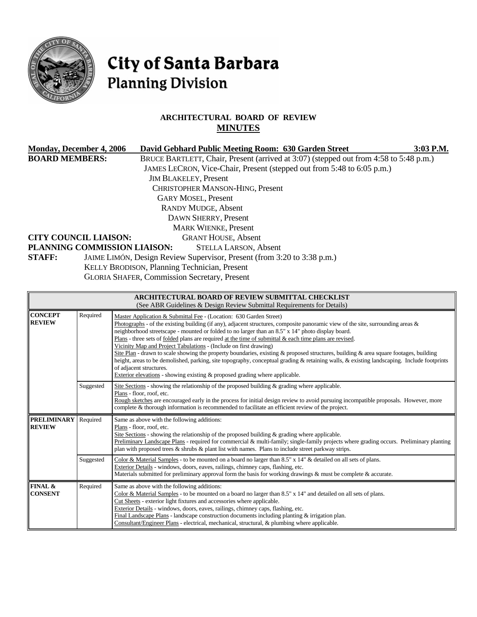

# City of Santa Barbara **Planning Division**

# **ARCHITECTURAL BOARD OF REVIEW MINUTES**

| <b>Monday, December 4, 2006</b> | David Gebhard Public Meeting Room: 630 Garden Street                                  | $3:03$ P.M. |
|---------------------------------|---------------------------------------------------------------------------------------|-------------|
| <b>BOARD MEMBERS:</b>           | BRUCE BARTLETT, Chair, Present (arrived at 3:07) (stepped out from 4:58 to 5:48 p.m.) |             |
|                                 | JAMES LECRON, Vice-Chair, Present (stepped out from 5:48 to 6:05 p.m.)                |             |
|                                 | <b>JIM BLAKELEY, Present</b>                                                          |             |
|                                 | <b>CHRISTOPHER MANSON-HING, Present</b>                                               |             |
|                                 | <b>GARY MOSEL, Present</b>                                                            |             |
|                                 | <b>RANDY MUDGE, Absent</b>                                                            |             |
|                                 | DAWN SHERRY, Present                                                                  |             |
|                                 | <b>MARK WIENKE, Present</b>                                                           |             |
| <b>CITY COUNCIL LIAISON:</b>    | <b>GRANT HOUSE, Absent</b>                                                            |             |
| PLANNING COMMISSION LIAISON:    | <b>STELLA LARSON, Absent</b>                                                          |             |
| <b>STAFF:</b>                   | JAIME LIMÓN, Design Review Supervisor, Present (from 3:20 to 3:38 p.m.)               |             |
|                                 | KELLY BRODISON, Planning Technician, Present                                          |             |
|                                 | <b>GLORIA SHAFER, Commission Secretary, Present</b>                                   |             |

| ARCHITECTURAL BOARD OF REVIEW SUBMITTAL CHECKLIST<br>(See ABR Guidelines & Design Review Submittal Requirements for Details) |           |                                                                                                                                                                                                                                                                                                                                                                                                                                                                                                                                                                                                                                                                                                                                                                                                                                                                                                            |  |  |
|------------------------------------------------------------------------------------------------------------------------------|-----------|------------------------------------------------------------------------------------------------------------------------------------------------------------------------------------------------------------------------------------------------------------------------------------------------------------------------------------------------------------------------------------------------------------------------------------------------------------------------------------------------------------------------------------------------------------------------------------------------------------------------------------------------------------------------------------------------------------------------------------------------------------------------------------------------------------------------------------------------------------------------------------------------------------|--|--|
| <b>CONCEPT</b><br><b>REVIEW</b>                                                                                              | Required  | Master Application & Submittal Fee - (Location: 630 Garden Street)<br>Photographs - of the existing building (if any), adjacent structures, composite panoramic view of the site, surrounding areas $\&$<br>neighborhood streetscape - mounted or folded to no larger than an 8.5" x 14" photo display board.<br>Plans - three sets of folded plans are required at the time of submittal $\&$ each time plans are revised.<br>Vicinity Map and Project Tabulations - (Include on first drawing)<br>Site Plan - drawn to scale showing the property boundaries, existing $\&$ proposed structures, building $\&$ area square footages, building<br>height, areas to be demolished, parking, site topography, conceptual grading & retaining walls, & existing landscaping. Include footprints<br>of adjacent structures.<br>Exterior elevations - showing existing $\&$ proposed grading where applicable. |  |  |
|                                                                                                                              | Suggested | Site Sections - showing the relationship of the proposed building $\&$ grading where applicable.<br>Plans - floor, roof, etc.<br>Rough sketches are encouraged early in the process for initial design review to avoid pursuing incompatible proposals. However, more<br>complete & thorough information is recommended to facilitate an efficient review of the project.                                                                                                                                                                                                                                                                                                                                                                                                                                                                                                                                  |  |  |
| <b>PRELIMINARY</b><br><b>REVIEW</b>                                                                                          | Required  | Same as above with the following additions:<br>Plans - floor, roof, etc.<br>Site Sections - showing the relationship of the proposed building $\&$ grading where applicable.<br>Preliminary Landscape Plans - required for commercial & multi-family; single-family projects where grading occurs. Preliminary planting<br>plan with proposed trees $\&$ shrubs $\&$ plant list with names. Plans to include street parkway strips.                                                                                                                                                                                                                                                                                                                                                                                                                                                                        |  |  |
|                                                                                                                              | Suggested | Color & Material Samples - to be mounted on a board no larger than 8.5" x 14" & detailed on all sets of plans.<br>Exterior Details - windows, doors, eaves, railings, chimney caps, flashing, etc.<br>Materials submitted for preliminary approval form the basis for working drawings & must be complete & accurate.                                                                                                                                                                                                                                                                                                                                                                                                                                                                                                                                                                                      |  |  |
| FINAL &<br><b>CONSENT</b>                                                                                                    | Required  | Same as above with the following additions:<br>Color & Material Samples - to be mounted on a board no larger than $8.5" \times 14"$ and detailed on all sets of plans.<br>Cut Sheets - exterior light fixtures and accessories where applicable.<br>Exterior Details - windows, doors, eaves, railings, chimney caps, flashing, etc.<br>Final Landscape Plans - landscape construction documents including planting $&$ irrigation plan.<br>Consultant/Engineer Plans - electrical, mechanical, structural, & plumbing where applicable.                                                                                                                                                                                                                                                                                                                                                                   |  |  |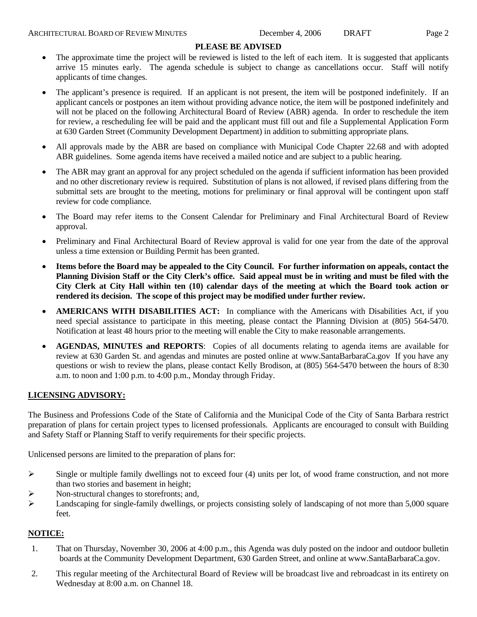#### **PLEASE BE ADVISED**

- The approximate time the project will be reviewed is listed to the left of each item. It is suggested that applicants arrive 15 minutes early. The agenda schedule is subject to change as cancellations occur. Staff will notify applicants of time changes.
- The applicant's presence is required. If an applicant is not present, the item will be postponed indefinitely. If an applicant cancels or postpones an item without providing advance notice, the item will be postponed indefinitely and will not be placed on the following Architectural Board of Review (ABR) agenda. In order to reschedule the item for review, a rescheduling fee will be paid and the applicant must fill out and file a Supplemental Application Form at 630 Garden Street (Community Development Department) in addition to submitting appropriate plans.
- All approvals made by the ABR are based on compliance with Municipal Code Chapter 22.68 and with adopted ABR guidelines. Some agenda items have received a mailed notice and are subject to a public hearing.
- The ABR may grant an approval for any project scheduled on the agenda if sufficient information has been provided and no other discretionary review is required. Substitution of plans is not allowed, if revised plans differing from the submittal sets are brought to the meeting, motions for preliminary or final approval will be contingent upon staff review for code compliance.
- The Board may refer items to the Consent Calendar for Preliminary and Final Architectural Board of Review approval.
- Preliminary and Final Architectural Board of Review approval is valid for one year from the date of the approval unless a time extension or Building Permit has been granted.
- **Items before the Board may be appealed to the City Council. For further information on appeals, contact the Planning Division Staff or the City Clerk's office. Said appeal must be in writing and must be filed with the City Clerk at City Hall within ten (10) calendar days of the meeting at which the Board took action or rendered its decision. The scope of this project may be modified under further review.**
- **AMERICANS WITH DISABILITIES ACT:** In compliance with the Americans with Disabilities Act, if you need special assistance to participate in this meeting, please contact the Planning Division at (805) 564-5470. Notification at least 48 hours prior to the meeting will enable the City to make reasonable arrangements.
- **AGENDAS, MINUTES and REPORTS**: Copies of all documents relating to agenda items are available for review at 630 Garden St. and agendas and minutes are posted online at [www.SantaBarbaraCa.gov](http://www.santabarbaraca.gov/) If you have any questions or wish to review the plans, please contact Kelly Brodison, at (805) 564-5470 between the hours of 8:30 a.m. to noon and 1:00 p.m. to 4:00 p.m., Monday through Friday.

#### **LICENSING ADVISORY:**

The Business and Professions Code of the State of California and the Municipal Code of the City of Santa Barbara restrict preparation of plans for certain project types to licensed professionals. Applicants are encouraged to consult with Building and Safety Staff or Planning Staff to verify requirements for their specific projects.

Unlicensed persons are limited to the preparation of plans for:

- $\triangleright$  Single or multiple family dwellings not to exceed four (4) units per lot, of wood frame construction, and not more than two stories and basement in height;
- ¾ Non-structural changes to storefronts; and,
- $\blacktriangleright$  Landscaping for single-family dwellings, or projects consisting solely of landscaping of not more than 5,000 square feet.

#### **NOTICE:**

- 1. That on Thursday, November 30, 2006 at 4:00 p.m., this Agenda was duly posted on the indoor and outdoor bulletin boards at the Community Development Department, 630 Garden Street, and online at www.SantaBarbaraCa.gov.
- 2. This regular meeting of the Architectural Board of Review will be broadcast live and rebroadcast in its entirety on Wednesday at 8:00 a.m. on Channel 18.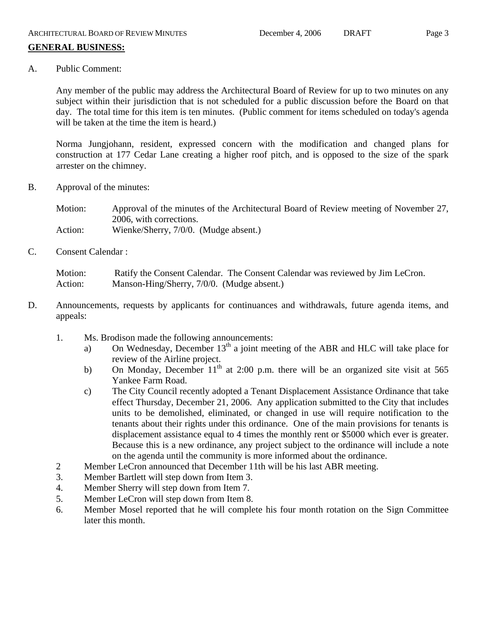# **GENERAL BUSINESS:**

A. Public Comment:

Any member of the public may address the Architectural Board of Review for up to two minutes on any subject within their jurisdiction that is not scheduled for a public discussion before the Board on that day. The total time for this item is ten minutes. (Public comment for items scheduled on today's agenda will be taken at the time the item is heard.)

Norma Jungjohann, resident, expressed concern with the modification and changed plans for construction at 177 Cedar Lane creating a higher roof pitch, and is opposed to the size of the spark arrester on the chimney.

B. Approval of the minutes:

Motion: Approval of the minutes of the Architectural Board of Review meeting of November 27, 2006, with corrections. Action: Wienke/Sherry, 7/0/0. (Mudge absent.)

C. Consent Calendar :

Motion: Ratify the Consent Calendar. The Consent Calendar was reviewed by Jim LeCron. Action: Manson-Hing/Sherry, 7/0/0. (Mudge absent.)

- D. Announcements, requests by applicants for continuances and withdrawals, future agenda items, and appeals:
	- 1. Ms. Brodison made the following announcements:
		- a) On Wednesday, December  $13<sup>th</sup>$  a joint meeting of the ABR and HLC will take place for review of the Airline project.
		- b) On Monday, December  $11<sup>th</sup>$  at 2:00 p.m. there will be an organized site visit at 565 Yankee Farm Road.
		- c) The City Council recently adopted a Tenant Displacement Assistance Ordinance that take effect Thursday, December 21, 2006. Any application submitted to the City that includes units to be demolished, eliminated, or changed in use will require notification to the tenants about their rights under this ordinance. One of the main provisions for tenants is displacement assistance equal to 4 times the monthly rent or \$5000 which ever is greater. Because this is a new ordinance, any project subject to the ordinance will include a note on the agenda until the community is more informed about the ordinance.
	- 2 Member LeCron announced that December 11th will be his last ABR meeting.
	- 3. Member Bartlett will step down from Item 3.
	- 4. Member Sherry will step down from Item 7.
	- 5. Member LeCron will step down from Item 8.
	- 6. Member Mosel reported that he will complete his four month rotation on the Sign Committee later this month.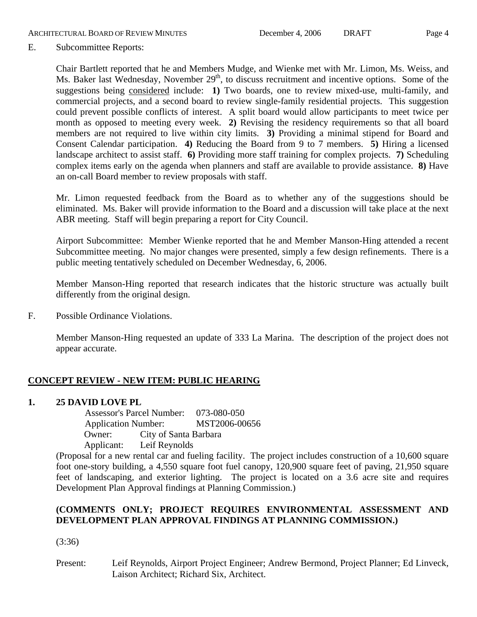E. Subcommittee Reports:

Chair Bartlett reported that he and Members Mudge, and Wienke met with Mr. Limon, Ms. Weiss, and Ms. Baker last Wednesday, November 29<sup>th</sup>, to discuss recruitment and incentive options. Some of the suggestions being considered include: **1)** Two boards, one to review mixed-use, multi-family, and commercial projects, and a second board to review single-family residential projects. This suggestion could prevent possible conflicts of interest. A split board would allow participants to meet twice per month as opposed to meeting every week. **2)** Revising the residency requirements so that all board members are not required to live within city limits. **3)** Providing a minimal stipend for Board and Consent Calendar participation. **4)** Reducing the Board from 9 to 7 members. **5)** Hiring a licensed landscape architect to assist staff. **6)** Providing more staff training for complex projects. **7)** Scheduling complex items early on the agenda when planners and staff are available to provide assistance. **8)** Have an on-call Board member to review proposals with staff.

Mr. Limon requested feedback from the Board as to whether any of the suggestions should be eliminated. Ms. Baker will provide information to the Board and a discussion will take place at the next ABR meeting. Staff will begin preparing a report for City Council.

Airport Subcommittee: Member Wienke reported that he and Member Manson-Hing attended a recent Subcommittee meeting. No major changes were presented, simply a few design refinements. There is a public meeting tentatively scheduled on December Wednesday, 6, 2006.

Member Manson-Hing reported that research indicates that the historic structure was actually built differently from the original design.

F. Possible Ordinance Violations.

Member Manson-Hing requested an update of 333 La Marina. The description of the project does not appear accurate.

# **CONCEPT REVIEW - NEW ITEM: PUBLIC HEARING**

## **1. 25 DAVID LOVE PL**

 Assessor's Parcel Number: 073-080-050 Application Number: MST2006-00656 Owner: City of Santa Barbara Applicant: Leif Reynolds

(Proposal for a new rental car and fueling facility. The project includes construction of a 10,600 square foot one-story building, a 4,550 square foot fuel canopy, 120,900 square feet of paving, 21,950 square feet of landscaping, and exterior lighting. The project is located on a 3.6 acre site and requires Development Plan Approval findings at Planning Commission.)

# **(COMMENTS ONLY; PROJECT REQUIRES ENVIRONMENTAL ASSESSMENT AND DEVELOPMENT PLAN APPROVAL FINDINGS AT PLANNING COMMISSION.)**

(3:36)

Present: Leif Reynolds, Airport Project Engineer; Andrew Bermond, Project Planner; Ed Linveck, Laison Architect; Richard Six, Architect.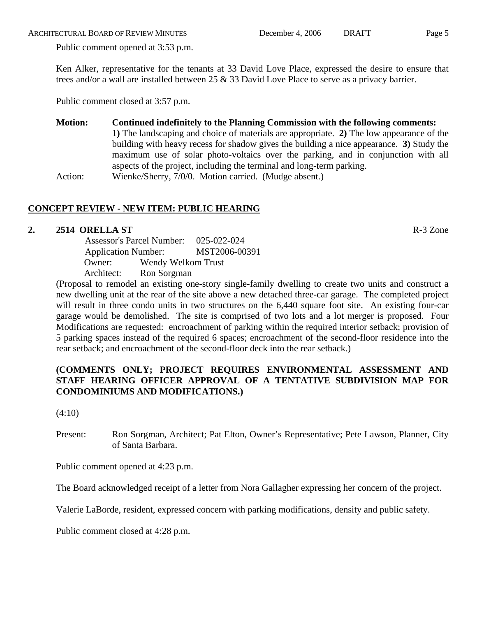ARCHITECTURAL BOARD OF REVIEW MINUTES December 4, 2006 DRAFT Page 5

Public comment opened at 3:53 p.m.

Ken Alker, representative for the tenants at 33 David Love Place, expressed the desire to ensure that trees and/or a wall are installed between 25 & 33 David Love Place to serve as a privacy barrier.

Public comment closed at 3:57 p.m.

**Motion: Continued indefinitely to the Planning Commission with the following comments: 1)** The landscaping and choice of materials are appropriate. **2)** The low appearance of the building with heavy recess for shadow gives the building a nice appearance. **3)** Study the maximum use of solar photo-voltaics over the parking, and in conjunction with all aspects of the project, including the terminal and long-term parking. Action: Wienke/Sherry, 7/0/0. Motion carried. (Mudge absent.)

# **CONCEPT REVIEW - NEW ITEM: PUBLIC HEARING**

# **2. 2514 ORELLA ST** R-3 Zone

 Assessor's Parcel Number: 025-022-024 Application Number: MST2006-00391 Owner: Wendy Welkom Trust Architect: Ron Sorgman

(Proposal to remodel an existing one-story single-family dwelling to create two units and construct a new dwelling unit at the rear of the site above a new detached three-car garage. The completed project will result in three condo units in two structures on the 6,440 square foot site. An existing four-car garage would be demolished. The site is comprised of two lots and a lot merger is proposed. Four Modifications are requested: encroachment of parking within the required interior setback; provision of 5 parking spaces instead of the required 6 spaces; encroachment of the second-floor residence into the rear setback; and encroachment of the second-floor deck into the rear setback.)

## **(COMMENTS ONLY; PROJECT REQUIRES ENVIRONMENTAL ASSESSMENT AND STAFF HEARING OFFICER APPROVAL OF A TENTATIVE SUBDIVISION MAP FOR CONDOMINIUMS AND MODIFICATIONS.)**

(4:10)

Present: Ron Sorgman, Architect; Pat Elton, Owner's Representative; Pete Lawson, Planner, City of Santa Barbara.

Public comment opened at 4:23 p.m.

The Board acknowledged receipt of a letter from Nora Gallagher expressing her concern of the project.

Valerie LaBorde, resident, expressed concern with parking modifications, density and public safety.

Public comment closed at 4:28 p.m.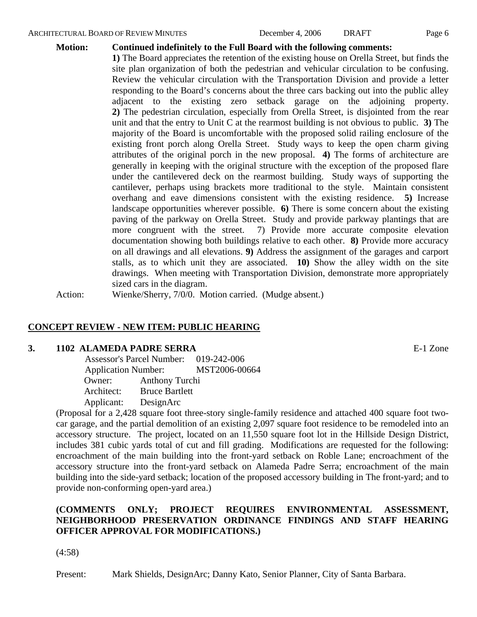#### ARCHITECTURAL BOARD OF REVIEW MINUTES **December 4, 2006** DRAFT Page 6

## **Motion: Continued indefinitely to the Full Board with the following comments:**

**1)** The Board appreciates the retention of the existing house on Orella Street, but finds the site plan organization of both the pedestrian and vehicular circulation to be confusing. Review the vehicular circulation with the Transportation Division and provide a letter responding to the Board's concerns about the three cars backing out into the public alley adjacent to the existing zero setback garage on the adjoining property. **2)** The pedestrian circulation, especially from Orella Street, is disjointed from the rear unit and that the entry to Unit C at the rearmost building is not obvious to public. **3)** The majority of the Board is uncomfortable with the proposed solid railing enclosure of the existing front porch along Orella Street. Study ways to keep the open charm giving attributes of the original porch in the new proposal. **4)** The forms of architecture are generally in keeping with the original structure with the exception of the proposed flare under the cantilevered deck on the rearmost building. Study ways of supporting the cantilever, perhaps using brackets more traditional to the style. Maintain consistent overhang and eave dimensions consistent with the existing residence. **5)** Increase landscape opportunities wherever possible. **6)** There is some concern about the existing paving of the parkway on Orella Street. Study and provide parkway plantings that are more congruent with the street. 7) Provide more accurate composite elevation documentation showing both buildings relative to each other. **8)** Provide more accuracy on all drawings and all elevations. **9)** Address the assignment of the garages and carport stalls, as to which unit they are associated. **10)** Show the alley width on the site drawings. When meeting with Transportation Division, demonstrate more appropriately sized cars in the diagram.

Action: Wienke/Sherry, 7/0/0. Motion carried. (Mudge absent.)

### **CONCEPT REVIEW - NEW ITEM: PUBLIC HEARING**

#### **3. 1102 ALAMEDA PADRE SERRA** E-1 Zone

 Assessor's Parcel Number: 019-242-006 Application Number: MST2006-00664 Owner: Anthony Turchi Architect: Bruce Bartlett Applicant: DesignArc

(Proposal for a 2,428 square foot three-story single-family residence and attached 400 square foot twocar garage, and the partial demolition of an existing 2,097 square foot residence to be remodeled into an accessory structure. The project, located on an 11,550 square foot lot in the Hillside Design District, includes 381 cubic yards total of cut and fill grading. Modifications are requested for the following: encroachment of the main building into the front-yard setback on Roble Lane; encroachment of the accessory structure into the front-yard setback on Alameda Padre Serra; encroachment of the main building into the side-yard setback; location of the proposed accessory building in The front-yard; and to provide non-conforming open-yard area.)

## **(COMMENTS ONLY; PROJECT REQUIRES ENVIRONMENTAL ASSESSMENT, NEIGHBORHOOD PRESERVATION ORDINANCE FINDINGS AND STAFF HEARING OFFICER APPROVAL FOR MODIFICATIONS.)**

(4:58)

Present: Mark Shields, DesignArc; Danny Kato, Senior Planner, City of Santa Barbara.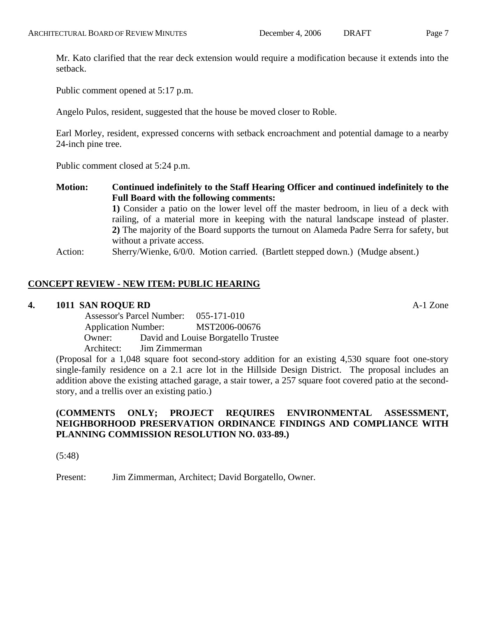Mr. Kato clarified that the rear deck extension would require a modification because it extends into the setback.

Public comment opened at 5:17 p.m.

Angelo Pulos, resident, suggested that the house be moved closer to Roble.

Earl Morley, resident, expressed concerns with setback encroachment and potential damage to a nearby 24-inch pine tree.

Public comment closed at 5:24 p.m.

**Motion: Continued indefinitely to the Staff Hearing Officer and continued indefinitely to the Full Board with the following comments: 1)** Consider a patio on the lower level off the master bedroom, in lieu of a deck with railing, of a material more in keeping with the natural landscape instead of plaster. **2)** The majority of the Board supports the turnout on Alameda Padre Serra for safety, but without a private access.

Action: Sherry/Wienke, 6/0/0. Motion carried. (Bartlett stepped down.) (Mudge absent.)

## **CONCEPT REVIEW - NEW ITEM: PUBLIC HEARING**

#### **4. 1011 SAN ROQUE RD** A-1 Zone

 Assessor's Parcel Number: 055-171-010 Application Number: MST2006-00676 Owner: David and Louise Borgatello Trustee Architect: Jim Zimmerman

(Proposal for a 1,048 square foot second-story addition for an existing 4,530 square foot one-story single-family residence on a 2.1 acre lot in the Hillside Design District. The proposal includes an addition above the existing attached garage, a stair tower, a 257 square foot covered patio at the secondstory, and a trellis over an existing patio.)

## **(COMMENTS ONLY; PROJECT REQUIRES ENVIRONMENTAL ASSESSMENT, NEIGHBORHOOD PRESERVATION ORDINANCE FINDINGS AND COMPLIANCE WITH PLANNING COMMISSION RESOLUTION NO. 033-89.)**

(5:48)

Present: Jim Zimmerman, Architect; David Borgatello, Owner.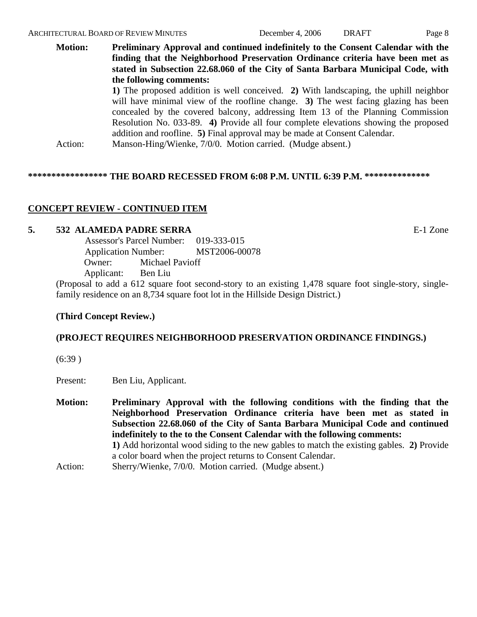**Motion: Preliminary Approval and continued indefinitely to the Consent Calendar with the finding that the Neighborhood Preservation Ordinance criteria have been met as stated in Subsection 22.68.060 of the City of Santa Barbara Municipal Code, with the following comments: 1)** The proposed addition is well conceived. **2)** With landscaping, the uphill neighbor will have minimal view of the roofline change. **3**) The west facing glazing has been concealed by the covered balcony, addressing Item 13 of the Planning Commission Resolution No. 033-89. **4)** Provide all four complete elevations showing the proposed addition and roofline. **5)** Final approval may be made at Consent Calendar.

Action: Manson-Hing/Wienke, 7/0/0. Motion carried. (Mudge absent.)

#### **\*\*\*\*\*\*\*\*\*\*\*\*\*\*\*\*\* THE BOARD RECESSED FROM 6:08 P.M. UNTIL 6:39 P.M. \*\*\*\*\*\*\*\*\*\*\*\*\*\***

## **CONCEPT REVIEW - CONTINUED ITEM**

## **5. 532 ALAMEDA PADRE SERRA** E-1 Zone

 Assessor's Parcel Number: 019-333-015 Application Number: MST2006-00078 Owner: Michael Pavioff Applicant: Ben Liu

(Proposal to add a 612 square foot second-story to an existing 1,478 square foot single-story, singlefamily residence on an 8,734 square foot lot in the Hillside Design District.)

### **(Third Concept Review.)**

### **(PROJECT REQUIRES NEIGHBORHOOD PRESERVATION ORDINANCE FINDINGS.)**

(6:39 )

Present: Ben Liu, Applicant.

- **Motion: Preliminary Approval with the following conditions with the finding that the Neighborhood Preservation Ordinance criteria have been met as stated in Subsection 22.68.060 of the City of Santa Barbara Municipal Code and continued indefinitely to the to the Consent Calendar with the following comments: 1)** Add horizontal wood siding to the new gables to match the existing gables. **2)** Provide a color board when the project returns to Consent Calendar.
- Action: Sherry/Wienke, 7/0/0. Motion carried. (Mudge absent.)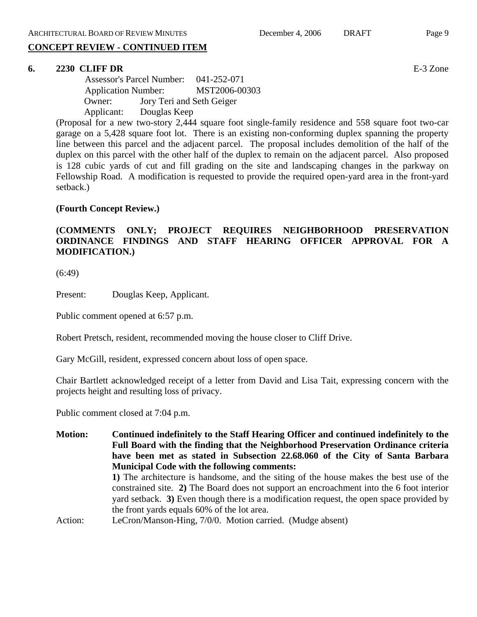## **CONCEPT REVIEW - CONTINUED ITEM**

## **6. 2230 CLIFF DR** E-3 Zone

 Assessor's Parcel Number: 041-252-071 Application Number: MST2006-00303 Owner: Jory Teri and Seth Geiger Applicant: Douglas Keep

(Proposal for a new two-story 2,444 square foot single-family residence and 558 square foot two-car garage on a 5,428 square foot lot. There is an existing non-conforming duplex spanning the property line between this parcel and the adjacent parcel. The proposal includes demolition of the half of the duplex on this parcel with the other half of the duplex to remain on the adjacent parcel. Also proposed is 128 cubic yards of cut and fill grading on the site and landscaping changes in the parkway on Fellowship Road. A modification is requested to provide the required open-yard area in the front-yard setback.)

### **(Fourth Concept Review.)**

## **(COMMENTS ONLY; PROJECT REQUIRES NEIGHBORHOOD PRESERVATION ORDINANCE FINDINGS AND STAFF HEARING OFFICER APPROVAL FOR A MODIFICATION.)**

(6:49)

Present: Douglas Keep, Applicant.

Public comment opened at 6:57 p.m.

Robert Pretsch, resident, recommended moving the house closer to Cliff Drive.

Gary McGill, resident, expressed concern about loss of open space.

Chair Bartlett acknowledged receipt of a letter from David and Lisa Tait, expressing concern with the projects height and resulting loss of privacy.

Public comment closed at 7:04 p.m.

**Motion: Continued indefinitely to the Staff Hearing Officer and continued indefinitely to the Full Board with the finding that the Neighborhood Preservation Ordinance criteria have been met as stated in Subsection 22.68.060 of the City of Santa Barbara Municipal Code with the following comments: 1)** The architecture is handsome, and the siting of the house makes the best use of the constrained site. **2)** The Board does not support an encroachment into the 6 foot interior yard setback. **3)** Even though there is a modification request, the open space provided by the front yards equals 60% of the lot area. Action: LeCron/Manson-Hing, 7/0/0. Motion carried. (Mudge absent)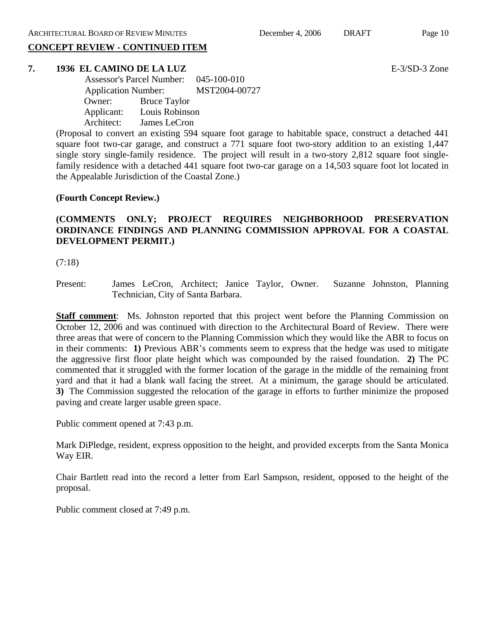# **CONCEPT REVIEW - CONTINUED ITEM**

#### **7. 1936 EL CAMINO DE LA LUZ** E-3/SD-3 Zone

 Assessor's Parcel Number: 045-100-010 Application Number: MST2004-00727 Owner: Bruce Taylor Applicant: Louis Robinson Architect: James LeCron

(Proposal to convert an existing 594 square foot garage to habitable space, construct a detached 441 square foot two-car garage, and construct a 771 square foot two-story addition to an existing 1,447 single story single-family residence. The project will result in a two-story 2,812 square foot singlefamily residence with a detached 441 square foot two-car garage on a 14,503 square foot lot located in the Appealable Jurisdiction of the Coastal Zone.)

#### **(Fourth Concept Review.)**

## **(COMMENTS ONLY; PROJECT REQUIRES NEIGHBORHOOD PRESERVATION ORDINANCE FINDINGS AND PLANNING COMMISSION APPROVAL FOR A COASTAL DEVELOPMENT PERMIT.)**

(7:18)

Present: James LeCron, Architect; Janice Taylor, Owner. Suzanne Johnston, Planning Technician, City of Santa Barbara.

**Staff comment**: Ms. Johnston reported that this project went before the Planning Commission on October 12, 2006 and was continued with direction to the Architectural Board of Review. There were three areas that were of concern to the Planning Commission which they would like the ABR to focus on in their comments: **1)** Previous ABR's comments seem to express that the hedge was used to mitigate the aggressive first floor plate height which was compounded by the raised foundation. **2)** The PC commented that it struggled with the former location of the garage in the middle of the remaining front yard and that it had a blank wall facing the street. At a minimum, the garage should be articulated. **3)** The Commission suggested the relocation of the garage in efforts to further minimize the proposed paving and create larger usable green space.

Public comment opened at 7:43 p.m.

Mark DiPledge, resident, express opposition to the height, and provided excerpts from the Santa Monica Way EIR.

Chair Bartlett read into the record a letter from Earl Sampson, resident, opposed to the height of the proposal.

Public comment closed at 7:49 p.m.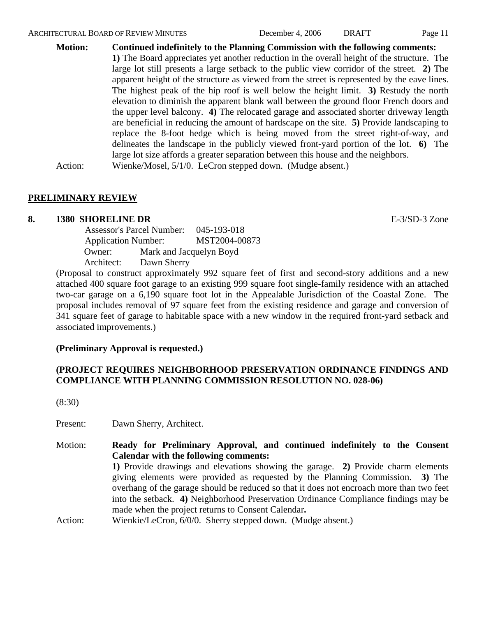**Motion: Continued indefinitely to the Planning Commission with the following comments: 1)** The Board appreciates yet another reduction in the overall height of the structure. The large lot still presents a large setback to the public view corridor of the street. **2)** The apparent height of the structure as viewed from the street is represented by the eave lines.

The highest peak of the hip roof is well below the height limit. **3)** Restudy the north elevation to diminish the apparent blank wall between the ground floor French doors and the upper level balcony. **4)** The relocated garage and associated shorter driveway length are beneficial in reducing the amount of hardscape on the site. **5)** Provide landscaping to replace the 8-foot hedge which is being moved from the street right-of-way, and delineates the landscape in the publicly viewed front-yard portion of the lot. **6)** The large lot size affords a greater separation between this house and the neighbors.

Action: Wienke/Mosel, 5/1/0. LeCron stepped down. (Mudge absent.)

## **PRELIMINARY REVIEW**

## **8. 1380 SHORELINE DR** E-3/SD-3 Zone

 Assessor's Parcel Number: 045-193-018 Application Number: MST2004-00873 Owner: Mark and Jacquelyn Boyd Architect: Dawn Sherry

(Proposal to construct approximately 992 square feet of first and second-story additions and a new attached 400 square foot garage to an existing 999 square foot single-family residence with an attached two-car garage on a 6,190 square foot lot in the Appealable Jurisdiction of the Coastal Zone. The proposal includes removal of 97 square feet from the existing residence and garage and conversion of 341 square feet of garage to habitable space with a new window in the required front-yard setback and associated improvements.)

## **(Preliminary Approval is requested.)**

# **(PROJECT REQUIRES NEIGHBORHOOD PRESERVATION ORDINANCE FINDINGS AND COMPLIANCE WITH PLANNING COMMISSION RESOLUTION NO. 028-06)**

(8:30)

Present: Dawn Sherry, Architect.

Motion: **Ready for Preliminary Approval, and continued indefinitely to the Consent Calendar with the following comments: 1)** Provide drawings and elevations showing the garage. **2)** Provide charm elements giving elements were provided as requested by the Planning Commission. **3)** The overhang of the garage should be reduced so that it does not encroach more than two feet into the setback. **4)** Neighborhood Preservation Ordinance Compliance findings may be made when the project returns to Consent Calendar**.** Action: Wienkie/LeCron, 6/0/0. Sherry stepped down. (Mudge absent.)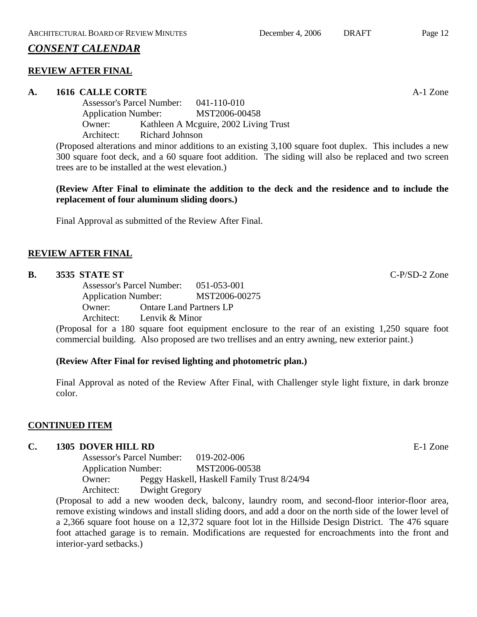# *CONSENT CALENDAR*

## **REVIEW AFTER FINAL**

## **A. 1616 CALLE CORTE** A-1 Zone

Assessor's Parcel Number: 041-110-010 Application Number: MST2006-00458 Owner: Kathleen A Mcguire, 2002 Living Trust Architect: Richard Johnson

(Proposed alterations and minor additions to an existing 3,100 square foot duplex. This includes a new 300 square foot deck, and a 60 square foot addition. The siding will also be replaced and two screen trees are to be installed at the west elevation.)

**(Review After Final to eliminate the addition to the deck and the residence and to include the replacement of four aluminum sliding doors.)** 

Final Approval as submitted of the Review After Final.

## **REVIEW AFTER FINAL**

### **B. 3535 STATE ST** C-P/SD-2 Zone

Assessor's Parcel Number: 051-053-001 Application Number: MST2006-00275 Owner: Ontare Land Partners LP Architect: Lenvik & Minor

(Proposal for a 180 square foot equipment enclosure to the rear of an existing 1,250 square foot commercial building. Also proposed are two trellises and an entry awning, new exterior paint.)

### **(Review After Final for revised lighting and photometric plan.)**

Final Approval as noted of the Review After Final, with Challenger style light fixture, in dark bronze color.

### **CONTINUED ITEM**

### **C. 1305 DOVER HILL RD** E-1 Zone

Assessor's Parcel Number: 019-202-006 Application Number: MST2006-00538 Owner: Peggy Haskell, Haskell Family Trust 8/24/94 Architect: Dwight Gregory

(Proposal to add a new wooden deck, balcony, laundry room, and second-floor interior-floor area, remove existing windows and install sliding doors, and add a door on the north side of the lower level of a 2,366 square foot house on a 12,372 square foot lot in the Hillside Design District. The 476 square foot attached garage is to remain. Modifications are requested for encroachments into the front and interior-yard setbacks.)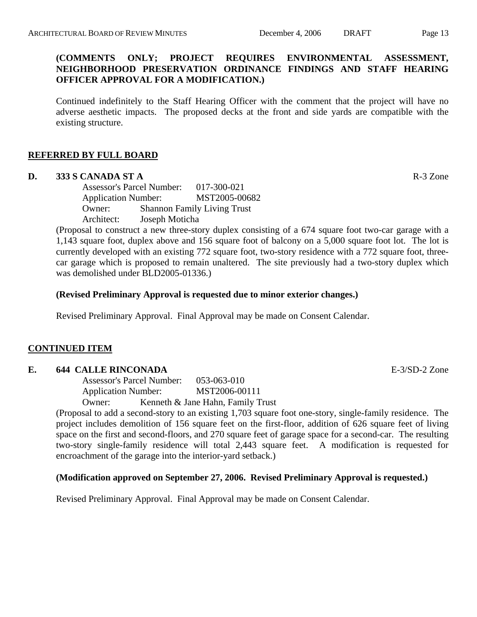## **(COMMENTS ONLY; PROJECT REQUIRES ENVIRONMENTAL ASSESSMENT, NEIGHBORHOOD PRESERVATION ORDINANCE FINDINGS AND STAFF HEARING OFFICER APPROVAL FOR A MODIFICATION.)**

Continued indefinitely to the Staff Hearing Officer with the comment that the project will have no adverse aesthetic impacts. The proposed decks at the front and side yards are compatible with the existing structure.

## **REFERRED BY FULL BOARD**

#### **D. 333 S CANADA ST A** R-3 Zone

Assessor's Parcel Number: 017-300-021 Application Number: MST2005-00682 Owner: Shannon Family Living Trust Architect: Joseph Moticha

(Proposal to construct a new three-story duplex consisting of a 674 square foot two-car garage with a 1,143 square foot, duplex above and 156 square foot of balcony on a 5,000 square foot lot. The lot is currently developed with an existing 772 square foot, two-story residence with a 772 square foot, threecar garage which is proposed to remain unaltered. The site previously had a two-story duplex which was demolished under BLD2005-01336.)

### **(Revised Preliminary Approval is requested due to minor exterior changes.)**

Revised Preliminary Approval. Final Approval may be made on Consent Calendar.

### **CONTINUED ITEM**

#### **E. 644 CALLE RINCONADA E-3/SD-2 Zone**

Assessor's Parcel Number: 053-063-010 Application Number: MST2006-00111 Owner: Kenneth & Jane Hahn, Family Trust

(Proposal to add a second-story to an existing 1,703 square foot one-story, single-family residence. The project includes demolition of 156 square feet on the first-floor, addition of 626 square feet of living space on the first and second-floors, and 270 square feet of garage space for a second-car. The resulting two-story single-family residence will total 2,443 square feet. A modification is requested for encroachment of the garage into the interior-yard setback.)

### **(Modification approved on September 27, 2006. Revised Preliminary Approval is requested.)**

Revised Preliminary Approval. Final Approval may be made on Consent Calendar.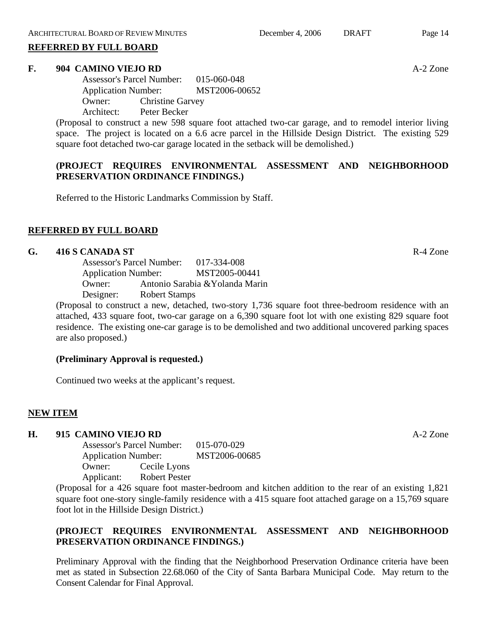#### **REFERRED BY FULL BOARD**

#### **F. 904 CAMINO VIEJO RD** A-2 Zone

Assessor's Parcel Number: 015-060-048 Application Number: MST2006-00652 Owner: Christine Garvey Architect: Peter Becker

(Proposal to construct a new 598 square foot attached two-car garage, and to remodel interior living space. The project is located on a 6.6 acre parcel in the Hillside Design District. The existing 529 square foot detached two-car garage located in the setback will be demolished.)

## **(PROJECT REQUIRES ENVIRONMENTAL ASSESSMENT AND NEIGHBORHOOD PRESERVATION ORDINANCE FINDINGS.)**

Referred to the Historic Landmarks Commission by Staff.

## **REFERRED BY FULL BOARD**

#### **G. 416 S CANADA ST** R-4 Zone

Assessor's Parcel Number: 017-334-008 Application Number: MST2005-00441 Owner: Antonio Sarabia &Yolanda Marin Designer: Robert Stamps

(Proposal to construct a new, detached, two-story 1,736 square foot three-bedroom residence with an attached, 433 square foot, two-car garage on a 6,390 square foot lot with one existing 829 square foot residence. The existing one-car garage is to be demolished and two additional uncovered parking spaces are also proposed.)

### **(Preliminary Approval is requested.)**

Continued two weeks at the applicant's request.

## **NEW ITEM**

### **H. 915 CAMINO VIEJO RD** A-2 Zone

Assessor's Parcel Number: 015-070-029 Application Number: MST2006-00685 Owner: Cecile Lyons Applicant: Robert Pester

(Proposal for a 426 square foot master-bedroom and kitchen addition to the rear of an existing 1,821 square foot one-story single-family residence with a 415 square foot attached garage on a 15,769 square foot lot in the Hillside Design District.)

# **(PROJECT REQUIRES ENVIRONMENTAL ASSESSMENT AND NEIGHBORHOOD PRESERVATION ORDINANCE FINDINGS.)**

Preliminary Approval with the finding that the Neighborhood Preservation Ordinance criteria have been met as stated in Subsection 22.68.060 of the City of Santa Barbara Municipal Code. May return to the Consent Calendar for Final Approval.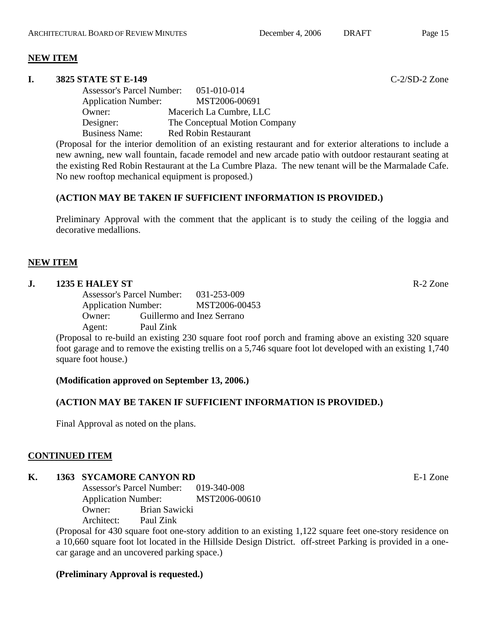## **NEW ITEM**

#### **I. 3825 STATE ST E-149** C-2/SD-2 Zone

Assessor's Parcel Number: 051-010-014 Application Number: MST2006-00691 Owner: Macerich La Cumbre, LLC Designer: The Conceptual Motion Company Business Name: Red Robin Restaurant

(Proposal for the interior demolition of an existing restaurant and for exterior alterations to include a new awning, new wall fountain, facade remodel and new arcade patio with outdoor restaurant seating at the existing Red Robin Restaurant at the La Cumbre Plaza. The new tenant will be the Marmalade Cafe. No new rooftop mechanical equipment is proposed.)

## **(ACTION MAY BE TAKEN IF SUFFICIENT INFORMATION IS PROVIDED.)**

Preliminary Approval with the comment that the applicant is to study the ceiling of the loggia and decorative medallions.

## **NEW ITEM**

### **J. 1235 E HALEY ST** R-2 Zone

Assessor's Parcel Number: 031-253-009 Application Number: MST2006-00453 Owner: Guillermo and Inez Serrano Agent: Paul Zink

(Proposal to re-build an existing 230 square foot roof porch and framing above an existing 320 square foot garage and to remove the existing trellis on a 5,746 square foot lot developed with an existing 1,740 square foot house.)

**(Modification approved on September 13, 2006.)** 

## **(ACTION MAY BE TAKEN IF SUFFICIENT INFORMATION IS PROVIDED.)**

Final Approval as noted on the plans.

## **CONTINUED ITEM**

# **K. 1363 SYCAMORE CANYON RD E-1 Zone**

Assessor's Parcel Number: 019-340-008 Application Number: MST2006-00610 Owner: Brian Sawicki Architect: Paul Zink

(Proposal for 430 square foot one-story addition to an existing 1,122 square feet one-story residence on a 10,660 square foot lot located in the Hillside Design District. off-street Parking is provided in a onecar garage and an uncovered parking space.)

## **(Preliminary Approval is requested.)**